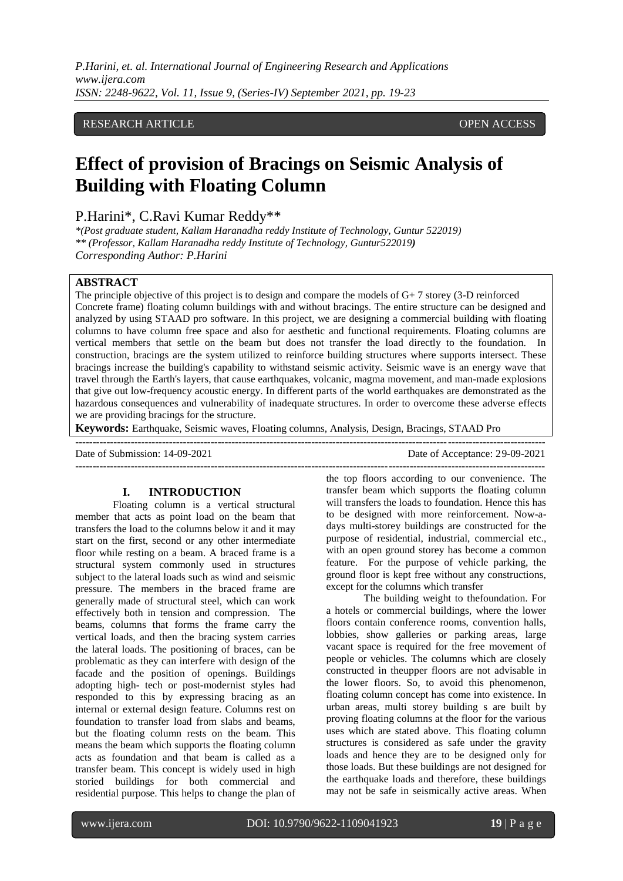## RESEARCH ARTICLE **OPEN ACCESS**

# **Effect of provision of Bracings on Seismic Analysis of Building with Floating Column**

P.Harini\*, C.Ravi Kumar Reddy\*\*

*\*(Post graduate student, Kallam Haranadha reddy Institute of Technology, Guntur 522019) \*\* (Professor, Kallam Haranadha reddy Institute of Technology, Guntur522019) Corresponding Author: P.Harini*

### **ABSTRACT**

The principle objective of this project is to design and compare the models of G+ 7 storey (3-D reinforced Concrete frame) floating column buildings with and without bracings. The entire structure can be designed and analyzed by using STAAD pro software. In this project, we are designing a commercial building with floating columns to have column free space and also for aesthetic and functional requirements. Floating columns are vertical members that settle on the beam but does not transfer the load directly to the foundation. In construction, bracings are the system utilized to reinforce building structures where supports intersect. These bracings increase the building's capability to withstand seismic activity. Seismic wave is an energy wave that travel through the Earth's layers, that cause earthquakes, volcanic, magma movement, and man-made explosions that give out low-frequency acoustic energy. In different parts of the world earthquakes are demonstrated as the hazardous consequences and vulnerability of inadequate structures. In order to overcome these adverse effects we are providing bracings for the structure.

---------------------------------------------------------------------------------------------------------------------------------------

---------------------------------------------------------------------------------------------------------------------------------------

**Keywords:** Earthquake, Seismic waves, Floating columns, Analysis, Design, Bracings, STAAD Pro

Date of Submission: 14-09-2021 Date of Acceptance: 29-09-2021

### **I. INTRODUCTION**

Floating column is a vertical structural member that acts as point load on the beam that transfers the load to the columns below it and it may start on the first, second or any other intermediate floor while resting on a beam. A braced frame is a structural system commonly used in structures subject to the lateral loads such as wind and seismic pressure. The members in the braced frame are generally made of structural steel, which can work effectively both in tension and compression. The beams, columns that forms the frame carry the vertical loads, and then the bracing system carries the lateral loads. The positioning of braces, can be problematic as they can interfere with design of the facade and the position of openings. Buildings adopting high- tech or post-modernist styles had responded to this by expressing bracing as an internal or external design feature. Columns rest on foundation to transfer load from slabs and beams, but the floating column rests on the beam. This means the beam which supports the floating column acts as foundation and that beam is called as a transfer beam. This concept is widely used in high storied buildings for both commercial and residential purpose. This helps to change the plan of

the top floors according to our convenience. The transfer beam which supports the floating column will transfers the loads to foundation. Hence this has to be designed with more reinforcement. Now-adays multi-storey buildings are constructed for the purpose of residential, industrial, commercial etc., with an open ground storey has become a common feature. For the purpose of vehicle parking, the ground floor is kept free without any constructions, except for the columns which transfer

The building weight to thefoundation. For a hotels or commercial buildings, where the lower floors contain conference rooms, convention halls, lobbies, show galleries or parking areas, large vacant space is required for the free movement of people or vehicles. The columns which are closely constructed in theupper floors are not advisable in the lower floors. So, to avoid this phenomenon, floating column concept has come into existence. In urban areas, multi storey building s are built by proving floating columns at the floor for the various uses which are stated above. This floating column structures is considered as safe under the gravity loads and hence they are to be designed only for those loads. But these buildings are not designed for the earthquake loads and therefore, these buildings may not be safe in seismically active areas. When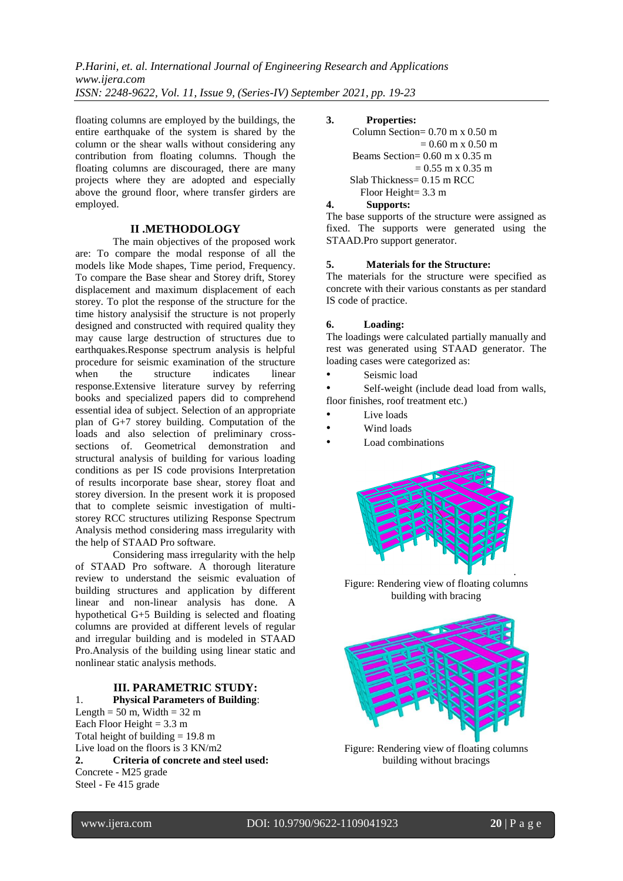floating columns are employed by the buildings, the entire earthquake of the system is shared by the column or the shear walls without considering any contribution from floating columns. Though the floating columns are discouraged, there are many projects where they are adopted and especially above the ground floor, where transfer girders are employed.

#### **II .METHODOLOGY**

The main objectives of the proposed work are: To compare the modal response of all the models like Mode shapes, Time period, Frequency. To compare the Base shear and Storey drift, Storey displacement and maximum displacement of each storey. To plot the response of the structure for the time history analysisif the structure is not properly designed and constructed with required quality they may cause large destruction of structures due to earthquakes.Response spectrum analysis is helpful procedure for seismic examination of the structure when the structure indicates linear response.Extensive literature survey by referring books and specialized papers did to comprehend essential idea of subject. Selection of an appropriate plan of G+7 storey building. Computation of the loads and also selection of preliminary crosssections of. Geometrical demonstration and structural analysis of building for various loading conditions as per IS code provisions Interpretation of results incorporate base shear, storey float and storey diversion. In the present work it is proposed that to complete seismic investigation of multistorey RCC structures utilizing Response Spectrum Analysis method considering mass irregularity with the help of STAAD Pro software.

Considering mass irregularity with the help of STAAD Pro software. A thorough literature review to understand the seismic evaluation of building structures and application by different linear and non-linear analysis has done. A hypothetical G+5 Building is selected and floating columns are provided at different levels of regular and irregular building and is modeled in STAAD Pro.Analysis of the building using linear static and nonlinear static analysis methods.

## **III. PARAMETRIC STUDY:**

1. **Physical Parameters of Building**: Length =  $50 \text{ m}$ , Width =  $32 \text{ m}$ Each Floor Height =  $3.3 \text{ m}$ Total height of building  $= 19.8$  m Live load on the floors is 3 KN/m2 **2. Criteria of concrete and steel used:** Concrete - M25 grade Steel - Fe 415 grade

#### **3. Properties:**

 Column Section= 0.70 m x 0.50 m  $= 0.60$  m x 0.50 m Beams Section=  $0.60$  m x  $0.35$  m  $= 0.55$  m x 0.35 m Slab Thickness= 0.15 m RCC Floor Height= 3.3 m

## **4. Supports:**

The base supports of the structure were assigned as fixed. The supports were generated using the STAAD.Pro support generator.

## **5. Materials for the Structure:**

The materials for the structure were specified as concrete with their various constants as per standard IS code of practice.

#### **6. Loading:**

The loadings were calculated partially manually and rest was generated using STAAD generator. The loading cases were categorized as:

Seismic load

Self-weight (include dead load from walls, floor finishes, roof treatment etc.)

- Live loads
- Wind loads
- Load combinations



Figure: Rendering view of floating columns building with bracing



Figure: Rendering view of floating columns building without bracings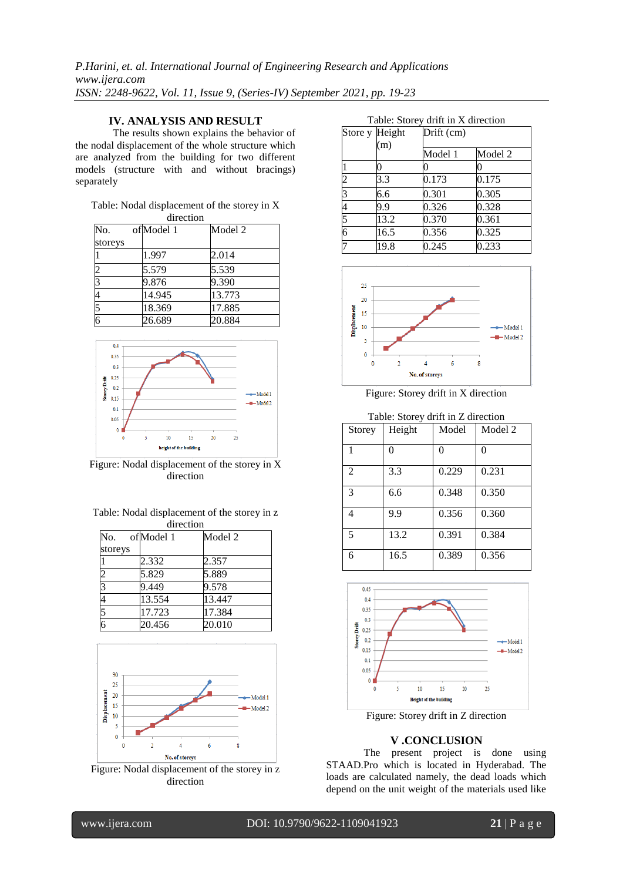## **IV. ANALYSIS AND RESULT**

The results shown explains the behavior of the nodal displacement of the whole structure which are analyzed from the building for two different models (structure with and without bracings) separately

## Table: Nodal displacement of the storey in X

| direction      |  |           |         |  |  |
|----------------|--|-----------|---------|--|--|
| No.            |  | ofModel 1 | Model 2 |  |  |
| storeys        |  |           |         |  |  |
|                |  | 1.997     | 2.014   |  |  |
|                |  | 5.579     | 5.539   |  |  |
|                |  | 9.876     | 9.390   |  |  |
|                |  | 14.945    | 13.773  |  |  |
|                |  | 18.369    | 17.885  |  |  |
| $\overline{6}$ |  | 26.689    | 20.884  |  |  |



Figure: Nodal displacement of the storey in X direction

| Table: Nodal displacement of the storey in z. |  |
|-----------------------------------------------|--|
| direction                                     |  |

| No.     | of Model 1 | Model 2 |  |
|---------|------------|---------|--|
| storeys |            |         |  |
|         | 2.332      | 2.357   |  |
|         | 5.829      | 5.889   |  |
|         | 9.449      | 9.578   |  |
|         | 13.554     | 13.447  |  |
|         | 17.723     | 17.384  |  |
|         | 20.456     | 20.010  |  |



Figure: Nodal displacement of the storey in z direction

|                | Store y Height<br>(m) | Drift (cm) |         |
|----------------|-----------------------|------------|---------|
|                |                       | Model 1    | Model 2 |
| 1              |                       |            | 0       |
| $\overline{c}$ | 3.3                   | 0.173      | 0.175   |
| $\overline{3}$ | 6.6                   | 0.301      | 0.305   |
| 4              | 9.9                   | 0.326      | 0.328   |
| 5              | 13.2                  | 0.370      | 0.361   |
| 6              | 16.5                  | 0.356      | 0.325   |
| 7              | 19.8                  | 0.245      | 0.233   |



Figure: Storey drift in X direction

| Table: Storey drift in Z direction |        |       |         |  |
|------------------------------------|--------|-------|---------|--|
| Storey                             | Height | Model | Model 2 |  |
|                                    | 0      | 0     | 0       |  |
| $\overline{2}$                     | 3.3    | 0.229 | 0.231   |  |
| 3                                  | 6.6    | 0.348 | 0.350   |  |
| 4                                  | 9.9    | 0.356 | 0.360   |  |
| 5                                  | 13.2   | 0.391 | 0.384   |  |
| 6                                  | 16.5   | 0.389 | 0.356   |  |



Figure: Storey drift in Z direction

## **V .CONCLUSION**

The present project is done using STAAD.Pro which is located in Hyderabad. The loads are calculated namely, the dead loads which depend on the unit weight of the materials used like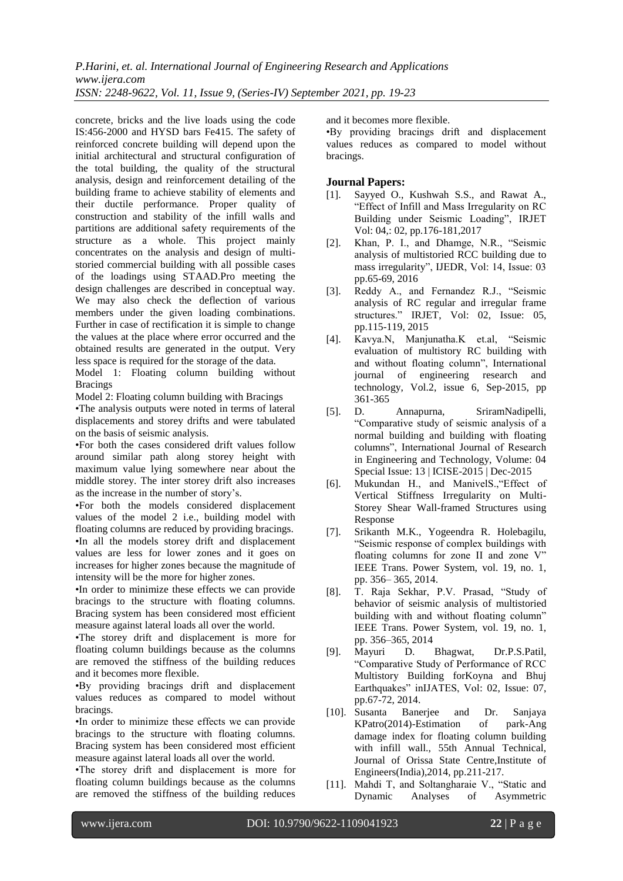concrete, bricks and the live loads using the code IS:456-2000 and HYSD bars Fe415. The safety of reinforced concrete building will depend upon the initial architectural and structural configuration of the total building, the quality of the structural analysis, design and reinforcement detailing of the building frame to achieve stability of elements and their ductile performance. Proper quality of construction and stability of the infill walls and partitions are additional safety requirements of the structure as a whole. This project mainly concentrates on the analysis and design of multistoried commercial building with all possible cases of the loadings using STAAD.Pro meeting the design challenges are described in conceptual way. We may also check the deflection of various members under the given loading combinations. Further in case of rectification it is simple to change the values at the place where error occurred and the obtained results are generated in the output. Very less space is required for the storage of the data.

Model 1: Floating column building without **Bracings** 

Model 2: Floating column building with Bracings

•The analysis outputs were noted in terms of lateral displacements and storey drifts and were tabulated on the basis of seismic analysis.

•For both the cases considered drift values follow around similar path along storey height with maximum value lying somewhere near about the middle storey. The inter storey drift also increases as the increase in the number of story's.

•For both the models considered displacement values of the model 2 i.e., building model with floating columns are reduced by providing bracings. •In all the models storey drift and displacement values are less for lower zones and it goes on increases for higher zones because the magnitude of intensity will be the more for higher zones.

•In order to minimize these effects we can provide bracings to the structure with floating columns. Bracing system has been considered most efficient measure against lateral loads all over the world.

•The storey drift and displacement is more for floating column buildings because as the columns are removed the stiffness of the building reduces and it becomes more flexible.

•By providing bracings drift and displacement values reduces as compared to model without bracings.

•In order to minimize these effects we can provide bracings to the structure with floating columns. Bracing system has been considered most efficient measure against lateral loads all over the world.

•The storey drift and displacement is more for floating column buildings because as the columns are removed the stiffness of the building reduces

and it becomes more flexible.

•By providing bracings drift and displacement values reduces as compared to model without bracings.

## **Journal Papers:**

- [1]. Sayyed O., Kushwah S.S., and Rawat A., "Effect of Infill and Mass Irregularity on RC Building under Seismic Loading", IRJET Vol: 04,: 02, pp.176-181,2017
- [2]. Khan, P. I., and Dhamge, N.R., "Seismic analysis of multistoried RCC building due to mass irregularity", IJEDR, Vol: 14, Issue: 03 pp.65-69, 2016
- [3]. Reddy A., and Fernandez R.J., "Seismic analysis of RC regular and irregular frame structures." IRJET, Vol: 02, Issue: 05, pp.115-119, 2015
- [4]. Kavya.N, Manjunatha.K et.al, "Seismic evaluation of multistory RC building with and without floating column", International journal of engineering research and technology, Vol.2, issue 6, Sep-2015, pp 361-365
- [5]. D. Annapurna, SriramNadipelli, "Comparative study of seismic analysis of a normal building and building with floating columns", International Journal of Research in Engineering and Technology, Volume: 04 Special Issue: 13 | ICISE-2015 | Dec-2015
- [6]. Mukundan H., and ManivelS.,"Effect of Vertical Stiffness Irregularity on Multi-Storey Shear Wall-framed Structures using Response
- [7]. Srikanth M.K., Yogeendra R. Holebagilu, "Seismic response of complex buildings with floating columns for zone II and zone V" IEEE Trans. Power System, vol. 19, no. 1, pp. 356– 365, 2014.
- [8]. T. Raja Sekhar, P.V. Prasad, "Study of behavior of seismic analysis of multistoried building with and without floating column" IEEE Trans. Power System, vol. 19, no. 1, pp. 356–365, 2014
- [9]. Mayuri D. Bhagwat, Dr.P.S.Patil, "Comparative Study of Performance of RCC Multistory Building forKoyna and Bhuj Earthquakes" inIJATES, Vol: 02, Issue: 07, pp.67-72, 2014.
- [10]. Susanta Banerjee and Dr. Sanjaya KPatro(2014)-Estimation of park-Ang damage index for floating column building with infill wall., 55th Annual Technical, Journal of Orissa State Centre,Institute of Engineers(India),2014, pp.211-217.
- [11]. Mahdi T, and Soltangharaie V., "Static and Dynamic Analyses of Asymmetric